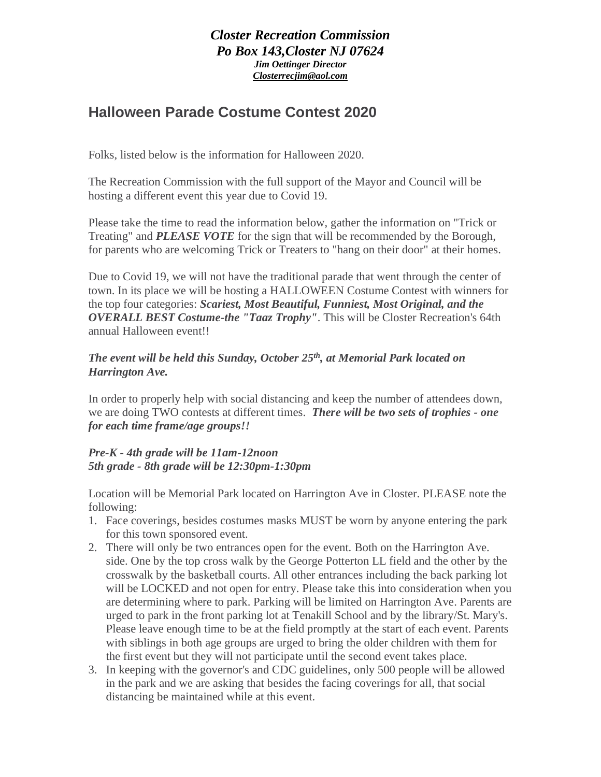## *Closter Recreation Commission Po Box 143,Closter NJ 07624 Jim Oettinger Director [Closterrecjim@aol.com](mailto:Closterrecjim@aol.com)*

## **Halloween Parade Costume Contest 2020**

Folks, listed below is the information for Halloween 2020.

The Recreation Commission with the full support of the Mayor and Council will be hosting a different event this year due to Covid 19.

Please take the time to read the information below, gather the information on "Trick or Treating" and *PLEASE VOTE* for the sign that will be recommended by the Borough, for parents who are welcoming Trick or Treaters to "hang on their door" at their homes.

Due to Covid 19, we will not have the traditional parade that went through the center of town. In its place we will be hosting a HALLOWEEN Costume Contest with winners for the top four categories: *Scariest, Most Beautiful, Funniest, Most Original, and the OVERALL BEST Costume-the "Taaz Trophy"*. This will be Closter Recreation's 64th annual Halloween event!!

## *The event will be held this Sunday, October 25th , at Memorial Park located on Harrington Ave.*

In order to properly help with social distancing and keep the number of attendees down, we are doing TWO contests at different times. *There will be two sets of trophies - one for each time frame/age groups!!*

## *Pre-K - 4th grade will be 11am-12noon 5th grade - 8th grade will be 12:30pm-1:30pm*

Location will be Memorial Park located on Harrington Ave in Closter. PLEASE note the following:

- 1. Face coverings, besides costumes masks MUST be worn by anyone entering the park for this town sponsored event.
- 2. There will only be two entrances open for the event. Both on the Harrington Ave. side. One by the top cross walk by the George Potterton LL field and the other by the crosswalk by the basketball courts. All other entrances including the back parking lot will be LOCKED and not open for entry. Please take this into consideration when you are determining where to park. Parking will be limited on Harrington Ave. Parents are urged to park in the front parking lot at Tenakill School and by the library/St. Mary's. Please leave enough time to be at the field promptly at the start of each event. Parents with siblings in both age groups are urged to bring the older children with them for the first event but they will not participate until the second event takes place.
- 3. In keeping with the governor's and CDC guidelines, only 500 people will be allowed in the park and we are asking that besides the facing coverings for all, that social distancing be maintained while at this event.